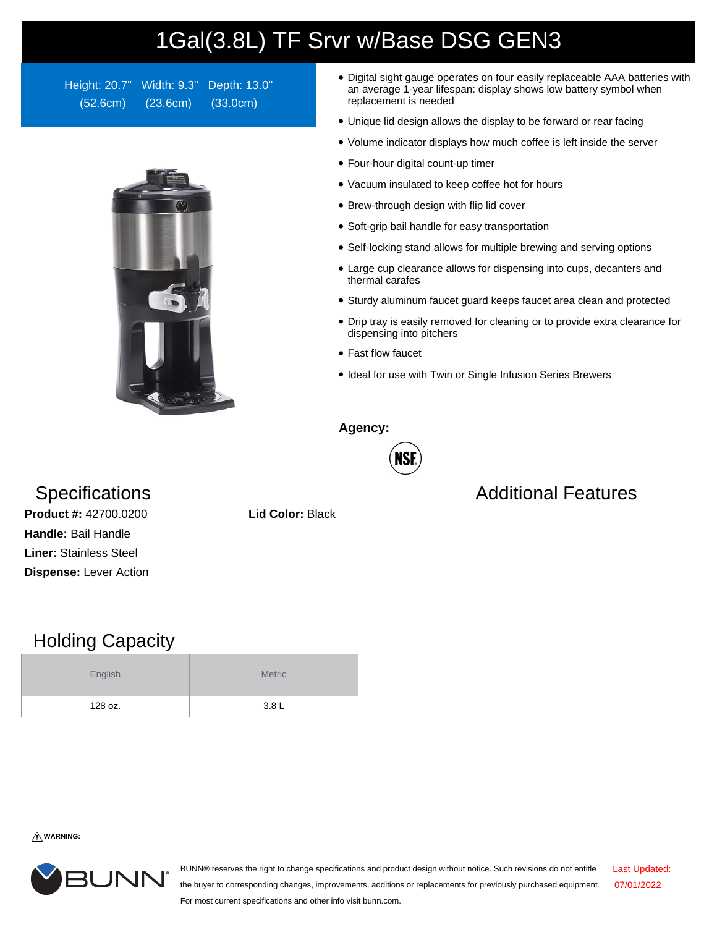## 1Gal(3.8L) TF Srvr w/Base DSG GEN3

Height: 20.7" Width: 9.3" Depth: 13.0" (52.6cm) (23.6cm) (33.0cm)



- Digital sight gauge operates on four easily replaceable AAA batteries with an average 1-year lifespan: display shows low battery symbol when replacement is needed
- Unique lid design allows the display to be forward or rear facing
- Volume indicator displays how much coffee is left inside the server
- Four-hour digital count-up timer
- Vacuum insulated to keep coffee hot for hours
- Brew-through design with flip lid cover
- Soft-grip bail handle for easy transportation
- Self-locking stand allows for multiple brewing and serving options
- Large cup clearance allows for dispensing into cups, decanters and thermal carafes
- Sturdy aluminum faucet guard keeps faucet area clean and protected
- Drip tray is easily removed for cleaning or to provide extra clearance for dispensing into pitchers
- Fast flow faucet
- Ideal for use with Twin or Single Infusion Series Brewers

**Agency:**



Specifications **Additional Features** Additional Features

**Product #:** 42700.0200 **Lid Color:** Black **Handle:** Bail Handle **Liner:** Stainless Steel **Dispense:** Lever Action

## Holding Capacity

| English | <b>Metric</b>    |
|---------|------------------|
| 128 oz. | 3.8 <sub>L</sub> |

**WARNING:**



BUNN® reserves the right to change specifications and product design without notice. Such revisions do not entitle the buyer to corresponding changes, improvements, additions or replacements for previously purchased equipment. For most current specifications and other info visit bunn.com. Last Updated: 07/01/2022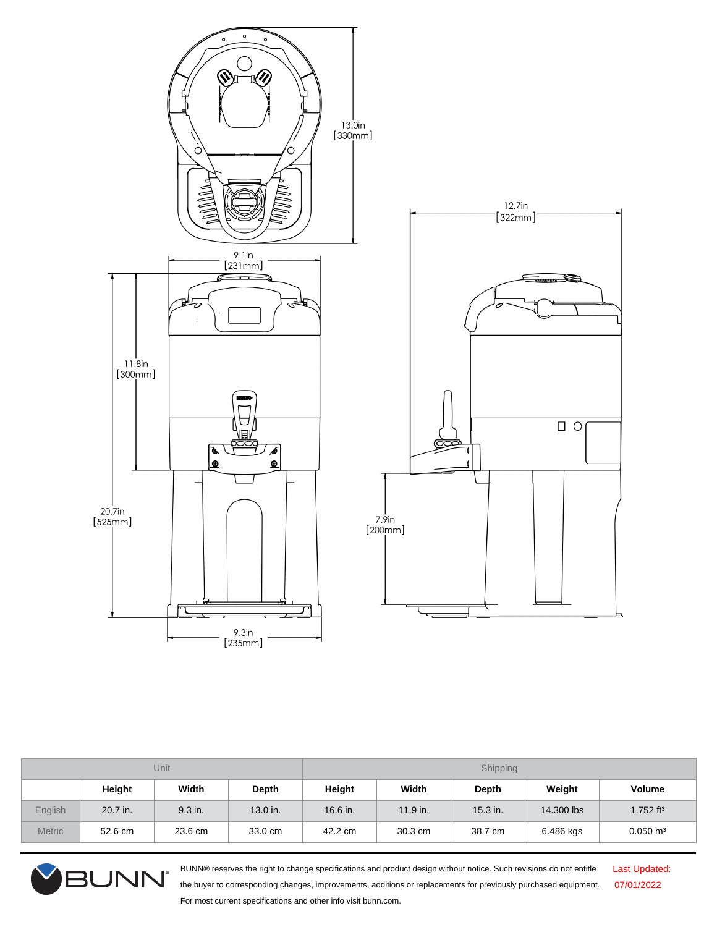

| <b>Unit</b>   |          |         | Shipping |            |            |            |            |                         |
|---------------|----------|---------|----------|------------|------------|------------|------------|-------------------------|
|               | Height   | Width   | Depth    | Height     | Width      | Depth      | Weight     | Volume                  |
| English       | 20.7 in. | 9.3 in. | 13.0 in. | $16.6$ in. | $11.9$ in. | $15.3$ in. | 14,300 lbs | $1.752$ ft <sup>3</sup> |
| <b>Metric</b> | 52.6 cm  | 23.6 cm | 33.0 cm  | 42.2 cm    | 30.3 cm    | 38.7 cm    | 6.486 kgs  | $0.050 \text{ m}^3$     |



BUNN® reserves the right to change specifications and product design without notice. Such revisions do not entitle the buyer to corresponding changes, improvements, additions or replacements for previously purchased equipment. For most current specifications and other info visit bunn.com.

Last Updated: 07/01/2022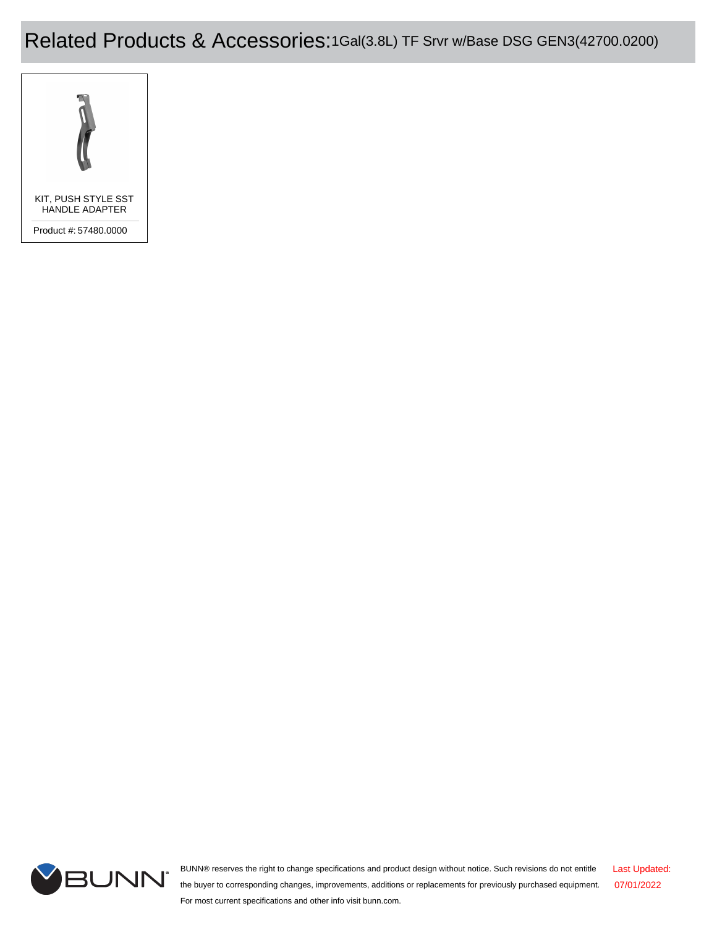Related Products & Accessories:1Gal(3.8L) TF Srvr w/Base DSG GEN3(42700.0200)





BUNN® reserves the right to change specifications and product design without notice. Such revisions do not entitle the buyer to corresponding changes, improvements, additions or replacements for previously purchased equipment. For most current specifications and other info visit bunn.com. Last Updated: 07/01/2022